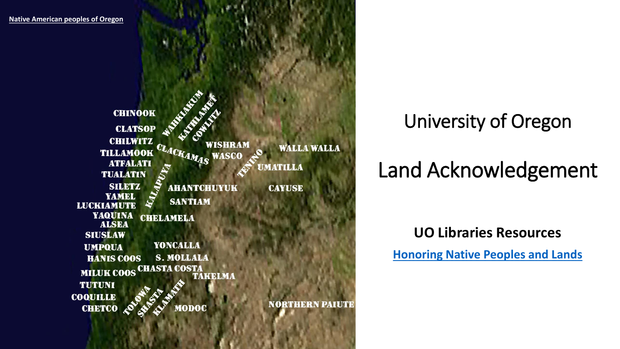**[Native American peoples of Oregon](https://en.wikipedia.org/wiki/Native_American_peoples_of_Oregon)CHINOOK CLATSOP CHILWITZ** WISHRAM CLACKAMAS **WALLA WALLA TILLAMOOK WASCO ATFALATI UMATILLA TUALATIN SILETZ AHANTCHUYUK CAYUSE** YAMEL **SANTIAM LUCKIAMUTE YAQUINA CHELAMELA ALSEA SIUSLAW YONCALLA UMPQUA S. MOLLALA HANIS COOS** MILUK COOS CHASTA COSTA TAKELMA **TUTUNI COQUILLE NORTHERN PAIUTE** MODOC **CHETCO** 

University of Oregon

### Land Acknowledgement

### **UO Libraries Resources**

**[Honoring Native Peoples and Lands](https://library.uoregon.edu/honoring-native-peoples-and-lands)**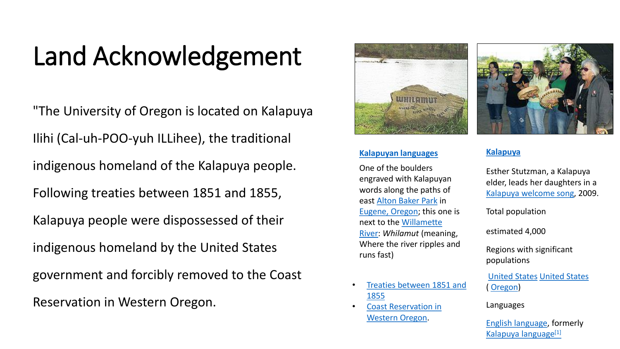### Land Acknowledgement

"The University of Oregon is located on Kalapuya Ilihi (Cal-uh-POO-yuh ILLihee), the traditional indigenous homeland of the Kalapuya people. Following treaties between 1851 and 1855, Kalapuya people were dispossessed of their indigenous homeland by the United States government and forcibly removed to the Coast Reservation in Western Oregon.



#### **[Kalapuyan languages](https://en.wikipedia.org/wiki/Kalapuyan_languages)**

One of the boulders engraved with Kalapuyan words along the paths of east [Alton Baker Park](https://en.wikipedia.org/wiki/Alton_Baker_Park) in [Eugene, Oregon](https://en.wikipedia.org/wiki/Eugene,_Oregon); this one is [next to the Willamette](https://en.wikipedia.org/wiki/Willamette_River)  River: *Whilamut* (meaning, Where the river ripples and runs fast)

- [Treaties between 1851 and](https://www.oregonencyclopedia.org/articles/kalapuya_treaty/#.YhWKR5PML3Y) 1855
- [Coast Reservation in](https://www.opb.org/artsandlife/series/brokentreaties/oregon-tribes-oral-history-broken-treaties/)  Western Oregon.

#### **[Kalapuya](https://en.wikipedia.org/wiki/Kalapuya)**

Esther Stutzman, a Kalapuya elder, leads her daughters in a [Kalapuya welcome song,](https://www.youtube.com/watch?v=pbKgqwFfZs4) 2009.

Total population

estimated 4,000

Regions with significant populations

[United States](https://en.wikipedia.org/wiki/United_States) [United States](https://en.wikipedia.org/wiki/United_States) ( [Oregon](https://en.wikipedia.org/wiki/Oregon))

Languages

[English language](https://en.wikipedia.org/wiki/English_language), formerly [Kalapuya language](https://en.wikipedia.org/wiki/Kalapuya_language)[\[1\]](https://en.wikipedia.org/wiki/Kalapuya#cite_note-1)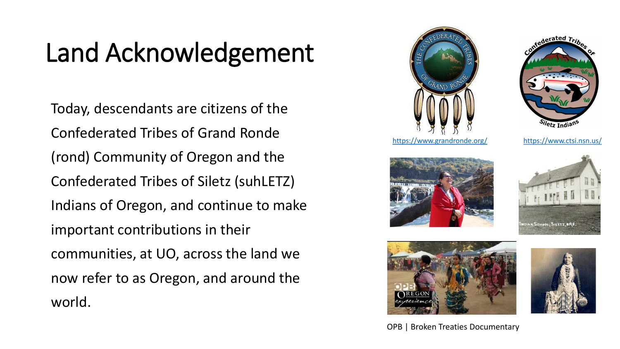## Land Acknowledgement

Today, descendants are citizens of the Confederated Tribes of Grand Ronde (rond) Community of Oregon and the Confederated Tribes of Siletz (suhLETZ) Indians of Oregon, and continue to make important contributions in their communities, at UO, across the land we now refer to as Oregon, and around the world.